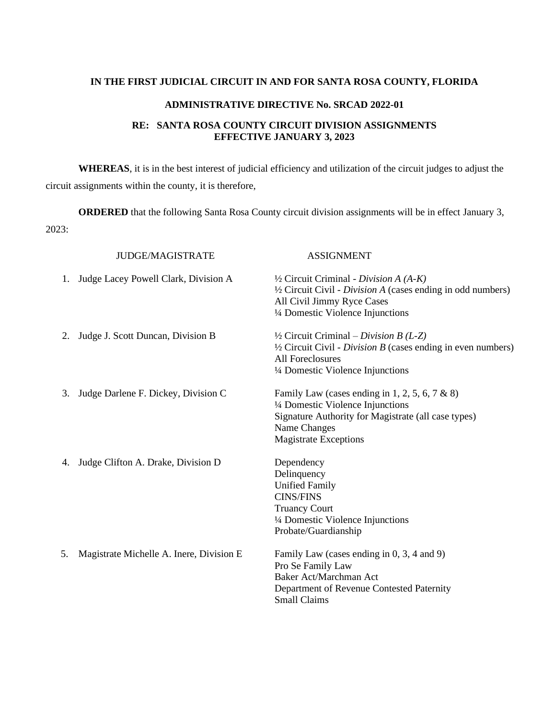## **IN THE FIRST JUDICIAL CIRCUIT IN AND FOR SANTA ROSA COUNTY, FLORIDA**

## **ADMINISTRATIVE DIRECTIVE No. SRCAD 2022-01**

## **RE: SANTA ROSA COUNTY CIRCUIT DIVISION ASSIGNMENTS EFFECTIVE JANUARY 3, 2023**

**WHEREAS**, it is in the best interest of judicial efficiency and utilization of the circuit judges to adjust the circuit assignments within the county, it is therefore,

**ORDERED** that the following Santa Rosa County circuit division assignments will be in effect January 3, 2023:

| <b>JUDGE/MAGISTRATE</b>                         | <b>ASSIGNMENT</b>                                                                                                                                                                                     |
|-------------------------------------------------|-------------------------------------------------------------------------------------------------------------------------------------------------------------------------------------------------------|
| Judge Lacey Powell Clark, Division A<br>1.      | $\frac{1}{2}$ Circuit Criminal - Division A (A-K)<br>$\frac{1}{2}$ Circuit Civil - <i>Division A</i> (cases ending in odd numbers)<br>All Civil Jimmy Ryce Cases<br>1/4 Domestic Violence Injunctions |
| Judge J. Scott Duncan, Division B<br>2.         | $\frac{1}{2}$ Circuit Criminal – Division B (L-Z)<br>$\frac{1}{2}$ Circuit Civil - <i>Division B</i> (cases ending in even numbers)<br><b>All Foreclosures</b><br>1/4 Domestic Violence Injunctions   |
| Judge Darlene F. Dickey, Division C.<br>3.      | Family Law (cases ending in 1, 2, 5, 6, 7 & 8)<br>1/4 Domestic Violence Injunctions<br>Signature Authority for Magistrate (all case types)<br>Name Changes<br><b>Magistrate Exceptions</b>            |
| Judge Clifton A. Drake, Division D<br>4.        | Dependency<br>Delinquency<br><b>Unified Family</b><br><b>CINS/FINS</b><br><b>Truancy Court</b><br>1/4 Domestic Violence Injunctions<br>Probate/Guardianship                                           |
| Magistrate Michelle A. Inere, Division E.<br>5. | Family Law (cases ending in 0, 3, 4 and 9)<br>Pro Se Family Law<br><b>Baker Act/Marchman Act</b><br>Department of Revenue Contested Paternity<br><b>Small Claims</b>                                  |